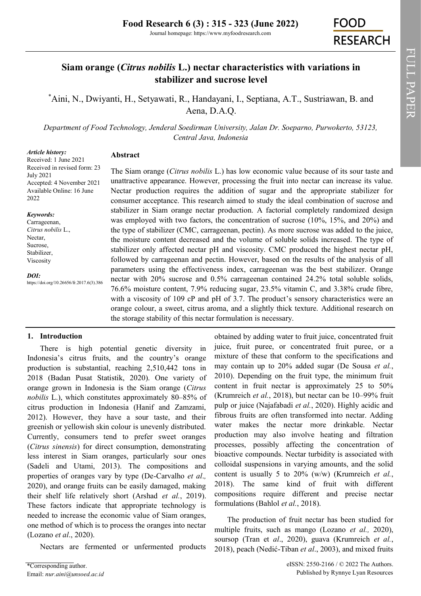# **Siam orange (***Citrus nobilis* **L.) nectar characteristics with variations in stabilizer and sucrose level**

\*[Aini, N.,](https://orcid.org/0000-0002-7076-4300) [Dwiyanti, H.,](https://orcid.org/0000-0002-0169-8303) [Setyawati, R.,](https://orcid.org/0000-0002-8588-4954) [Handayani, I.,](https://orcid.org/0000-0002-6648-1308) [Septiana, A.T.,](https://orcid.org/0000-0003-0824-0175) [Sustriawan, B. a](https://orcid.org/0000-0002-9408-8298)nd Aena, D.A.Q.

*Department of Food Technology, Jenderal Soedirman University, Jalan Dr. Soeparno, Purwokerto, 53123, Central Java, Indonesia*

### *Article history:*

Received: 1 June 2021 Received in revised form: 23 July 2021 Accepted: 4 November 2021 Available Online: 16 June 2022

## *Keywords:*

Carrageenan, *Citrus nobilis* L., Nectar, Sucrose, Stabilizer, Viscosity

*DOI:*

https://doi.org/10.26656/fr.2017.6(3).386

# **Abstract**

The Siam orange (*Citrus nobilis* L.) has low economic value because of its sour taste and unattractive appearance. However, processing the fruit into nectar can increase its value. Nectar production requires the addition of sugar and the appropriate stabilizer for consumer acceptance. This research aimed to study the ideal combination of sucrose and stabilizer in Siam orange nectar production. A factorial completely randomized design was employed with two factors, the concentration of sucrose (10%, 15%, and 20%) and the type of stabilizer (CMC, carrageenan, pectin). As more sucrose was added to the juice, the moisture content decreased and the volume of soluble solids increased. The type of stabilizer only affected nectar pH and viscosity. CMC produced the highest nectar pH, followed by carrageenan and pectin. However, based on the results of the analysis of all parameters using the effectiveness index, carrageenan was the best stabilizer. Orange nectar with 20% sucrose and 0.5% carrageenan contained 24.2% total soluble solids, 76.6% moisture content, 7.9% reducing sugar, 23.5% vitamin C, and 3.38% crude fibre, with a viscosity of 109 cP and pH of 3.7. The product's sensory characteristics were an orange colour, a sweet, citrus aroma, and a slightly thick texture. Additional research on the storage stability of this nectar formulation is necessary.

# **1. Introduction**

There is high potential genetic diversity in Indonesia's citrus fruits, and the country's orange production is substantial, reaching 2,510,442 tons in 2018 (Badan Pusat Statistik, 2020). One variety of orange grown in Indonesia is the Siam orange (*Citrus nobilis* L.), which constitutes approximately 80–85% of citrus production in Indonesia (Hanif and Zamzami, 2012). However, they have a sour taste, and their greenish or yellowish skin colour is unevenly distributed. Currently, consumers tend to prefer sweet oranges (*Citrus sinensis*) for direct consumption, demonstrating less interest in Siam oranges, particularly sour ones (Sadeli and Utami, 2013). The compositions and properties of oranges vary by type (De-Carvalho *et al*.*,* 2020), and orange fruits can be easily damaged, making their shelf life relatively short (Arshad *et al.*, 2019). These factors indicate that appropriate technology is needed to increase the economic value of Siam oranges, one method of which is to process the oranges into nectar (Lozano *et al*., 2020).

Nectars are fermented or unfermented products

obtained by adding water to fruit juice, concentrated fruit juice, fruit puree, or concentrated fruit puree, or a mixture of these that conform to the specifications and may contain up to 20% added sugar (De Sousa *et al.*, 2010). Depending on the fruit type, the minimum fruit content in fruit nectar is approximately 25 to 50% (Krumreich *et al.*, 2018), but nectar can be 10–99% fruit pulp or juice (Najafabadi *et al.*, 2020). Highly acidic and fibrous fruits are often transformed into nectar. Adding water makes the nectar more drinkable. Nectar production may also involve heating and filtration processes, possibly affecting the concentration of bioactive compounds. Nectar turbidity is associated with colloidal suspensions in varying amounts, and the solid content is usually 5 to 20% (w/w) (Krumreich *et al.*, 2018). The same kind of fruit with different compositions require different and precise nectar formulations (Bahlol *et al.*, 2018).

The production of fruit nectar has been studied for multiple fruits, such as mango (Lozano *et al.,* 2020), soursop (Tran et *al*., 2020), guava (Krumreich *et al.*, 2018), peach (Nedić-Tiban *et al*., 2003), and mixed fruits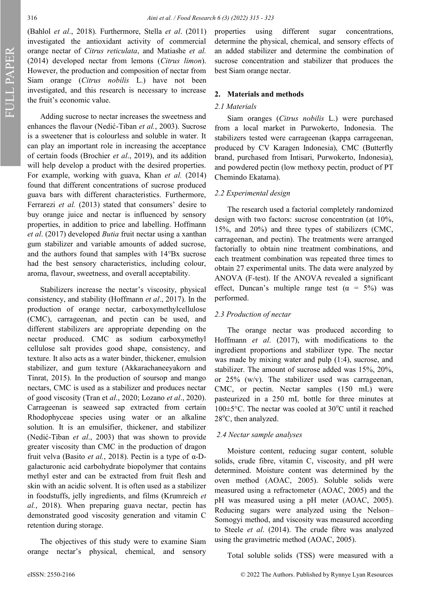FULL PAPER

(Bahlol *et al*., 2018). Furthermore, Stella *et al*. (2011) investigated the antioxidant activity of commercial orange nectar of *Citrus reticulata*, and Matiashe *et al.* (2014) developed nectar from lemons (*Citrus limon*). However, the production and composition of nectar from Siam orange (*Citrus nobilis* L.) have not been investigated, and this research is necessary to increase the fruit's economic value.

Adding sucrose to nectar increases the sweetness and enhances the flavour (Nedić-Tiban *et al.*, 2003). Sucrose is a sweetener that is colourless and soluble in water. It can play an important role in increasing the acceptance of certain foods (Brochier *et al*., 2019), and its addition will help develop a product with the desired properties. For example, working with guava, Khan *et al.* (2014) found that different concentrations of sucrose produced guava bars with different characteristics. Furthermore, Ferrarezi *et al.* (2013) stated that consumers' desire to buy orange juice and nectar is influenced by sensory properties, in addition to price and labelling. Hoffmann *et al*. (2017) developed *Butia* fruit nectar using a xanthan gum stabilizer and variable amounts of added sucrose, and the authors found that samples with 14°Bx sucrose had the best sensory characteristics, including colour, aroma, flavour, sweetness, and overall acceptability.

Stabilizers increase the nectar's viscosity, physical consistency, and stability (Hoffmann *et al*., 2017). In the production of orange nectar, carboxymethylcellulose (CMC), carrageenan, and pectin can be used, and different stabilizers are appropriate depending on the nectar produced. CMC as sodium carboxymethyl cellulose salt provides good shape, consistency, and texture. It also acts as a water binder, thickener, emulsion stabilizer, and gum texture (Akkarachaneeyakorn and Tinrat, 2015). In the production of soursop and mango nectars, CMC is used as a stabilizer and produces nectar of good viscosity (Tran et *al*., 2020; Lozano *et al*., 2020). Carrageenan is seaweed sap extracted from certain Rhodophyceae species using water or an alkaline solution. It is an emulsifier, thickener, and stabilizer (Nedić-Tiban *et al*., 2003) that was shown to provide greater viscosity than CMC in the production of dragon fruit velva (Basito *et al.*, 2018). Pectin is a type of α-Dgalacturonic acid carbohydrate biopolymer that contains methyl ester and can be extracted from fruit flesh and skin with an acidic solvent. It is often used as a stabilizer in foodstuffs, jelly ingredients, and films (Krumreich *et al.*, 2018). When preparing guava nectar, pectin has demonstrated good viscosity generation and vitamin C retention during storage.

The objectives of this study were to examine Siam orange nectar's physical, chemical, and sensory

properties using different sugar concentrations, determine the physical, chemical, and sensory effects of an added stabilizer and determine the combination of sucrose concentration and stabilizer that produces the best Siam orange nectar.

## **2. Materials and methods**

## *2.1 Materials*

Siam oranges (*Citrus nobilis* L.) were purchased from a local market in Purwokerto, Indonesia. The stabilizers tested were carrageenan (kappa carrageenan, produced by CV Karagen Indonesia), CMC (Butterfly brand, purchased from Intisari, Purwokerto, Indonesia), and powdered pectin (low methoxy pectin, product of PT Chemindo Ekatama).

## *2.2 Experimental design*

The research used a factorial completely randomized design with two factors: sucrose concentration (at 10%, 15%, and 20%) and three types of stabilizers (CMC, carrageenan, and pectin). The treatments were arranged factorially to obtain nine treatment combinations, and each treatment combination was repeated three times to obtain 27 experimental units. The data were analyzed by ANOVA (F-test). If the ANOVA revealed a significant effect, Duncan's multiple range test ( $\alpha = 5\%$ ) was performed.

## *2.3 Production of nectar*

The orange nectar was produced according to Hoffmann *et al*. (2017), with modifications to the ingredient proportions and stabilizer type. The nectar was made by mixing water and pulp (1:4), sucrose, and stabilizer. The amount of sucrose added was 15%, 20%, or 25% (w/v). The stabilizer used was carrageenan, CMC, or pectin. Nectar samples (150 mL) were pasteurized in a 250 mL bottle for three minutes at  $100 \pm 5^{\circ}$ C. The nectar was cooled at  $30^{\circ}$ C until it reached  $28^{\circ}$ C, then analyzed.

#### *2.4 Nectar sample analyses*

Moisture content, reducing sugar content, soluble solids, crude fibre, vitamin C, viscosity, and pH were determined. Moisture content was determined by the oven method (AOAC, 2005). Soluble solids were measured using a refractometer (AOAC, 2005) and the pH was measured using a pH meter (AOAC, 2005). Reducing sugars were analyzed using the Nelson– Somogyi method, and viscosity was measured according to Steele *et al*. (2014). The crude fibre was analyzed using the gravimetric method (AOAC, 2005).

Total soluble solids (TSS) were measured with a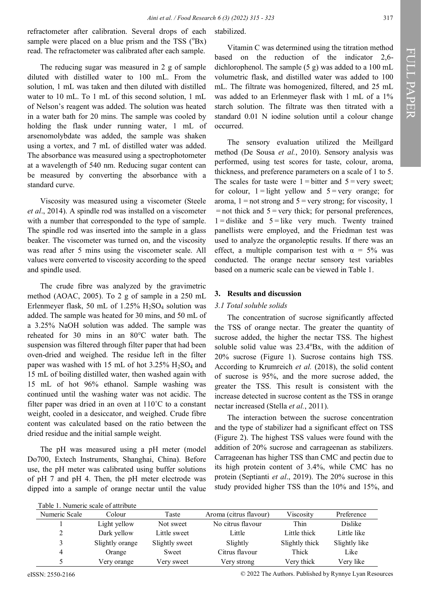refractometer after calibration. Several drops of each sample were placed on a blue prism and the TSS  $(^{\circ}Bx)$ read. The refractometer was calibrated after each sample.

The reducing sugar was measured in 2 g of sample diluted with distilled water to 100 mL. From the solution, 1 mL was taken and then diluted with distilled water to 10 mL. To 1 mL of this second solution, 1 mL of Nelson's reagent was added. The solution was heated in a water bath for 20 mins. The sample was cooled by holding the flask under running water, 1 mL of arsenomolybdate was added, the sample was shaken using a vortex, and 7 mL of distilled water was added. The absorbance was measured using a spectrophotometer at a wavelength of 540 nm. Reducing sugar content can be measured by converting the absorbance with a standard curve.

Viscosity was measured using a viscometer (Steele *et al*., 2014). A spindle rod was installed on a viscometer with a number that corresponded to the type of sample. The spindle rod was inserted into the sample in a glass beaker. The viscometer was turned on, and the viscosity was read after 5 mins using the viscometer scale. All values were converted to viscosity according to the speed and spindle used.

The crude fibre was analyzed by the gravimetric method (AOAC, 2005). To 2 g of sample in a 250 mL Erlenmeyer flask, 50 mL of 1.25%  $H_2SO_4$  solution was added. The sample was heated for 30 mins, and 50 mL of a 3.25% NaOH solution was added. The sample was reheated for 30 mins in an 80°C water bath. The suspension was filtered through filter paper that had been oven-dried and weighed. The residue left in the filter paper was washed with 15 mL of hot  $3.25\%$  H<sub>2</sub>SO<sub>4</sub> and 15 mL of boiling distilled water, then washed again with 15 mL of hot 96% ethanol. Sample washing was continued until the washing water was not acidic. The filter paper was dried in an oven at 110˚C to a constant weight, cooled in a desiccator, and weighed. Crude fibre content was calculated based on the ratio between the dried residue and the initial sample weight.

The pH was measured using a pH meter (model Do700, Extech Instruments, Shanghai, China). Before use, the pH meter was calibrated using buffer solutions of pH 7 and pH 4. Then, the pH meter electrode was dipped into a sample of orange nectar until the value

# stabilized.

Vitamin C was determined using the titration method based on the reduction of the indicator 2,6 dichlorophenol. The sample (5 g) was added to a 100 mL volumetric flask, and distilled water was added to 100 mL. The filtrate was homogenized, filtered, and 25 mL was added to an Erlenmeyer flask with 1 mL of a 1% starch solution. The filtrate was then titrated with a standard 0.01 N iodine solution until a colour change occurred.

The sensory evaluation utilized the Meillgard method (De Sousa *et al.*, 2010). Sensory analysis was performed, using test scores for taste, colour, aroma, thickness, and preference parameters on a scale of 1 to 5. The scales for taste were  $1 =$ **bitter and**  $5 =$  very sweet; for colour,  $1 =$ **light yellow and**  $5 =$  very orange; for aroma,  $1 =$ not strong and  $5 =$ very strong; for viscosity, 1  = not thick and 5 = very thick; for personal preferences,  $1 =$ dislike and  $5 =$  like very much. Twenty trained panellists were employed, and the Friedman test was used to analyze the organoleptic results. If there was an effect, a multiple comparison test with  $\alpha = 5\%$  was conducted. The orange nectar sensory test variables based on a numeric scale can be viewed in Table 1.

# **3. Results and discussion**

## *3.1 Total soluble solids*

The concentration of sucrose significantly affected the TSS of orange nectar. The greater the quantity of sucrose added, the higher the nectar TSS. The highest soluble solid value was  $23.4^{\circ}Bx$ , with the addition of 20% sucrose (Figure 1). Sucrose contains high TSS. According to Krumreich *et al.* (2018), the solid content of sucrose is 95%, and the more sucrose added, the greater the TSS. This result is consistent with the increase detected in sucrose content as the TSS in orange nectar increased (Stella *et al.*, 2011).

The interaction between the sucrose concentration and the type of stabilizer had a significant effect on TSS (Figure 2). The highest TSS values were found with the addition of 20% sucrose and carrageenan as stabilizers. Carrageenan has higher TSS than CMC and pectin due to its high protein content of 3.4%, while CMC has no protein (Septianti *et al*., 2019). The 20% sucrose in this study provided higher TSS than the 10% and 15%, and

| Table 1. Numeric scale of attribute |                 |                |                        |                |               |
|-------------------------------------|-----------------|----------------|------------------------|----------------|---------------|
| Numeric Scale                       | Colour          | Taste          | Aroma (citrus flavour) | Viscosity      | Preference    |
|                                     | Light yellow    | Not sweet      | No citrus flavour      | Thin           | Dislike       |
|                                     | Dark yellow     | Little sweet   | Little                 | Little thick   | Little like   |
|                                     | Slightly orange | Slightly sweet | Slightly               | Slightly thick | Slightly like |
| 4                                   | Orange          | Sweet          | Citrus flavour         | Thick          | Like          |
|                                     | Very orange     | Very sweet     | Very strong            | Very thick     | Very like     |

eISSN: 2550-2166 © 2022 The Authors. Published by Rynnye Lyan Resources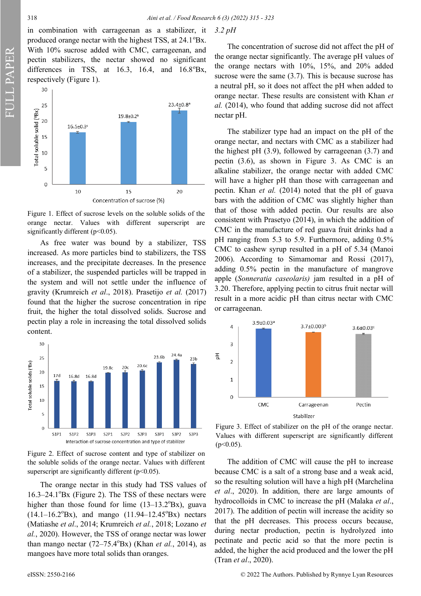in combination with carrageenan as a stabilizer, it produced orange nectar with the highest TSS, at  $24.1^{\circ}Bx$ . With 10% sucrose added with CMC, carrageenan, and pectin stabilizers, the nectar showed no significant differences in TSS, at  $16.3$ ,  $16.4$ , and  $16.8^{\circ}Bx$ , respectively (Figure 1).



Figure 1. Effect of sucrose levels on the soluble solids of the orange nectar. Values with different superscript are significantly different ( $p<0.05$ ).

As free water was bound by a stabilizer, TSS increased. As more particles bind to stabilizers, the TSS increases, and the precipitate decreases. In the presence of a stabilizer, the suspended particles will be trapped in the system and will not settle under the influence of gravity (Krumreich *et al*., 2018). Prasetijo *et al.* (2017) found that the higher the sucrose concentration in ripe fruit, the higher the total dissolved solids. Sucrose and pectin play a role in increasing the total dissolved solids content.



Figure 2. Effect of sucrose content and type of stabilizer on the soluble solids of the orange nectar. Values with different superscript are significantly different ( $p$ <0.05).

The orange nectar in this study had TSS values of  $16.3-24.1^{\circ}$ Bx (Figure 2). The TSS of these nectars were higher than those found for lime  $(13-13.2^{\circ}Bx)$ , guava  $(14.1-16.2^{\circ}Bx)$ , and mango  $(11.94-12.45^{\circ}Bx)$  nectars (Matiashe *et al*., 2014; Krumreich *et al.*, 2018; Lozano *et al.*, 2020). However, the TSS of orange nectar was lower than mango nectar  $(72-75.4^{\circ}Bx)$  (Khan *et al.*, 2014), as mangoes have more total solids than oranges.

The concentration of sucrose did not affect the pH of the orange nectar significantly. The average pH values of the orange nectars with 10%, 15%, and 20% added sucrose were the same  $(3.7)$ . This is because sucrose has a neutral pH, so it does not affect the pH when added to orange nectar. These results are consistent with Khan *et al.* (2014), who found that adding sucrose did not affect nectar pH.

The stabilizer type had an impact on the pH of the orange nectar, and nectars with CMC as a stabilizer had the highest pH  $(3.9)$ , followed by carrageenan  $(3.7)$  and pectin (3.6), as shown in Figure 3. As CMC is an alkaline stabilizer, the orange nectar with added CMC will have a higher pH than those with carrageenan and pectin. Khan *et al.* (2014) noted that the pH of guava bars with the addition of CMC was slightly higher than that of those with added pectin. Our results are also consistent with Prasetyo (2014), in which the addition of CMC in the manufacture of red guava fruit drinks had a pH ranging from 5.3 to 5.9. Furthermore, adding 0.5% CMC to cashew syrup resulted in a pH of 5.34 (Manoi 2006). According to Simamomar and Rossi (2017), adding 0.5% pectin in the manufacture of mangrove apple (*Sonneratia caseolaris)* jam resulted in a pH of 3.20. Therefore, applying pectin to citrus fruit nectar will result in a more acidic pH than citrus nectar with CMC or carrageenan.



Figure 3. Effect of stabilizer on the pH of the orange nectar. Values with different superscript are significantly different  $(p<0.05)$ .

The addition of CMC will cause the pH to increase because CMC is a salt of a strong base and a weak acid, so the resulting solution will have a high pH (Marchelina *et al*., 2020). In addition, there are large amounts of hydrocolloids in CMC to increase the pH (Malaka *et al*., 2017). The addition of pectin will increase the acidity so that the pH decreases. This process occurs because, during nectar production, pectin is hydrolyzed into pectinate and pectic acid so that the more pectin is added, the higher the acid produced and the lower the pH (Tran *et al*., 2020).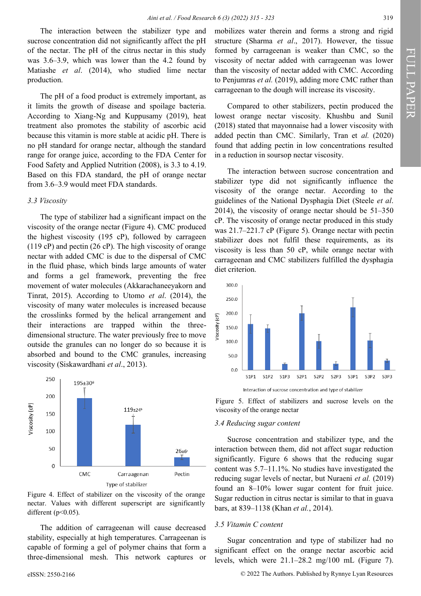The interaction between the stabilizer type and sucrose concentration did not significantly affect the pH of the nectar. The pH of the citrus nectar in this study was 3.6–3.9, which was lower than the 4.2 found by Matiashe *et al*. (2014), who studied lime nectar production.

The pH of a food product is extremely important, as it limits the growth of disease and spoilage bacteria. According to Xiang-Ng and Kuppusamy (2019), heat treatment also promotes the stability of ascorbic acid because this vitamin is more stable at acidic pH. There is no pH standard for orange nectar, although the standard range for orange juice, according to the FDA Center for Food Safety and Applied Nutrition (2008), is 3.3 to 4.19. Based on this FDA standard, the pH of orange nectar from 3.6–3.9 would meet FDA standards.

# *3.3 Viscosity*

The type of stabilizer had a significant impact on the viscosity of the orange nectar (Figure 4). CMC produced the highest viscosity (195 cP), followed by carrageen (119 cP) and pectin (26 cP). The high viscosity of orange nectar with added CMC is due to the dispersal of CMC in the fluid phase, which binds large amounts of water and forms a gel framework, preventing the free movement of water molecules (Akkarachaneeyakorn and Tinrat, 2015). According to Utomo *et al*. (2014), the viscosity of many water molecules is increased because the crosslinks formed by the helical arrangement and their interactions are trapped within the threedimensional structure. The water previously free to move outside the granules can no longer do so because it is absorbed and bound to the CMC granules, increasing viscosity (Siskawardhani *et al*., 2013).



Figure 4. Effect of stabilizer on the viscosity of the orange nectar. Values with different superscript are significantly different ( $p<0.05$ ).

The addition of carrageenan will cause decreased stability, especially at high temperatures. Carrageenan is capable of forming a gel of polymer chains that form a three-dimensional mesh. This network captures or

mobilizes water therein and forms a strong and rigid structure (Sharma *et al*., 2017). However, the tissue formed by carrageenan is weaker than CMC, so the viscosity of nectar added with carrageenan was lower than the viscosity of nectar added with CMC. According to Penjumras *et al.* (2019), adding more CMC rather than carrageenan to the dough will increase its viscosity.

Compared to other stabilizers, pectin produced the lowest orange nectar viscosity. Khushbu and Sunil (2018) stated that mayonnaise had a lower viscosity with added pectin than CMC. Similarly, Tran et *al.* (2020) found that adding pectin in low concentrations resulted in a reduction in soursop nectar viscosity.

The interaction between sucrose concentration and stabilizer type did not significantly influence the viscosity of the orange nectar. According to the guidelines of the National Dysphagia Diet (Steele *et al*. 2014), the viscosity of orange nectar should be 51–350 cP. The viscosity of orange nectar produced in this study was 21.7–221.7 cP (Figure 5). Orange nectar with pectin stabilizer does not fulfil these requirements, as its viscosity is less than 50 cP, while orange nectar with carrageenan and CMC stabilizers fulfilled the dysphagia diet criterion.





#### *3.4 Reducing sugar content*

Sucrose concentration and stabilizer type, and the interaction between them, did not affect sugar reduction significantly. Figure 6 shows that the reducing sugar content was 5.7–11.1%. No studies have investigated the reducing sugar levels of nectar, but Nuraeni *et al.* (2019) found an 8–10% lower sugar content for fruit juice. Sugar reduction in citrus nectar is similar to that in guava bars, at 839–1138 (Khan *et al.*, 2014).

## *3.5 Vitamin C content*

Sugar concentration and type of stabilizer had no significant effect on the orange nectar ascorbic acid levels, which were 21.1–28.2 mg/100 mL (Figure 7).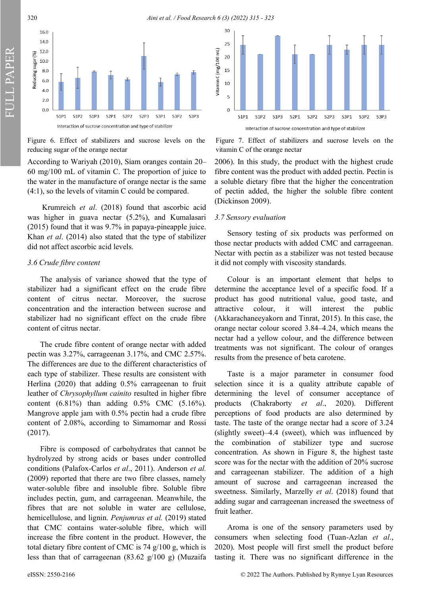320 *Aini et al. / Food Research 6 (3) (2022) 315 - 323*



Figure 6. Effect of stabilizers and sucrose levels on the reducing sugar of the orange nectar

According to Wariyah (2010), Siam oranges contain 20– 60 mg/100 mL of vitamin C. The proportion of juice to the water in the manufacture of orange nectar is the same (4:1), so the levels of vitamin C could be compared.

Krumreich *et al*. (2018) found that ascorbic acid was higher in guava nectar (5.2%), and Kumalasari (2015) found that it was 9.7% in papaya-pineapple juice. Khan *et al*. (2014) also stated that the type of stabilizer did not affect ascorbic acid levels.

# *3.6 Crude fibre content*

FULL PAPER

The analysis of variance showed that the type of stabilizer had a significant effect on the crude fibre content of citrus nectar. Moreover, the sucrose concentration and the interaction between sucrose and stabilizer had no significant effect on the crude fibre content of citrus nectar.

The crude fibre content of orange nectar with added pectin was 3.27%, carrageenan 3.17%, and CMC 2.57%. The differences are due to the different characteristics of each type of stabilizer. These results are consistent with Herlina (2020) that adding 0.5% carrageenan to fruit leather of *Chrysophyllum cainito* resulted in higher fibre content (6.81%) than adding 0.5% CMC (5.16%). Mangrove apple jam with 0.5% pectin had a crude fibre content of 2.08%, according to Simamomar and Rossi (2017).

Fibre is composed of carbohydrates that cannot be hydrolyzed by strong acids or bases under controlled conditions (Palafox-Carlos *et al*., 2011). Anderson *et al.* (2009) reported that there are two fibre classes, namely water-soluble fibre and insoluble fibre. Soluble fibre includes pectin, gum, and carrageenan. Meanwhile, the fibres that are not soluble in water are cellulose, hemicellulose, and lignin. *Penjumras et al.* (2019) stated that CMC contains water-soluble fibre, which will increase the fibre content in the product. However, the total dietary fibre content of CMC is 74 g/100 g, which is less than that of carrageenan (83.62 g/100 g) (Muzaifa



Figure 7. Effect of stabilizers and sucrose levels on the vitamin C of the orange nectar

2006). In this study, the product with the highest crude fibre content was the product with added pectin. Pectin is a soluble dietary fibre that the higher the concentration of pectin added, the higher the soluble fibre content (Dickinson 2009).

# *3.7 Sensory evaluation*

Sensory testing of six products was performed on those nectar products with added CMC and carrageenan. Nectar with pectin as a stabilizer was not tested because it did not comply with viscosity standards.

Colour is an important element that helps to determine the acceptance level of a specific food. If a product has good nutritional value, good taste, and attractive colour, it will interest the public (Akkarachaneeyakorn and Tinrat, 2015). In this case, the orange nectar colour scored 3.84–4.24, which means the nectar had a yellow colour, and the difference between treatments was not significant. The colour of oranges results from the presence of beta carotene.

Taste is a major parameter in consumer food selection since it is a quality attribute capable of determining the level of consumer acceptance of products (Chakraborty *et al*., 2020). Different perceptions of food products are also determined by taste. The taste of the orange nectar had a score of 3.24 (slightly sweet)–4.4 (sweet), which was influenced by the combination of stabilizer type and sucrose concentration. As shown in Figure 8, the highest taste score was for the nectar with the addition of 20% sucrose and carrageenan stabilizer. The addition of a high amount of sucrose and carrageenan increased the sweetness. Similarly, Marzelly *et al*. (2018) found that adding sugar and carrageenan increased the sweetness of fruit leather.

Aroma is one of the sensory parameters used by consumers when selecting food (Tuan-Azlan *et al*., 2020). Most people will first smell the product before tasting it. There was no significant difference in the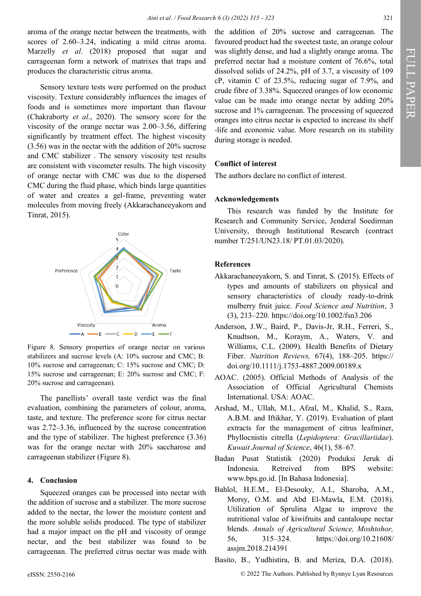aroma of the orange nectar between the treatments, with scores of 2.60–3.24, indicating a mild citrus aroma. Marzelly *et al*. (2018) proposed that sugar and carrageenan form a network of matrixes that traps and produces the characteristic citrus aroma.

Sensory texture tests were performed on the product viscosity. Texture considerably influences the images of foods and is sometimes more important than flavour (Chakraborty *et al*., 2020). The sensory score for the viscosity of the orange nectar was 2.00–3.56, differing significantly by treatment effect. The highest viscosity (3.56) was in the nectar with the addition of 20% sucrose and CMC stabilizer . The sensory viscosity test results are consistent with viscometer results. The high viscosity of orange nectar with CMC was due to the dispersed CMC during the fluid phase, which binds large quantities of water and creates a gel-frame, preventing water molecules from moving freely (Akkarachaneeyakorn and Tinrat, 2015).



Figure 8. Sensory properties of orange nectar on various stabilizers and sucrose levels (A: 10% sucrose and CMC; B: 10% sucrose and carrageenan; C: 15% sucrose and CMC; D: 15% sucrose and carrageenan; E: 20% sucrose and CMC; F: 20% sucrose and carrageenan).

The panellists' overall taste verdict was the final evaluation, combining the parameters of colour, aroma, taste, and texture. The preference score for citrus nectar was 2.72–3.36, influenced by the sucrose concentration and the type of stabilizer. The highest preference (3.36) was for the orange nectar with 20% saccharose and carrageenan stabilizer (Figure 8).

#### **4. Conclusion**

Squeezed oranges can be processed into nectar with the addition of sucrose and a stabilizer. The more sucrose added to the nectar, the lower the moisture content and the more soluble solids produced. The type of stabilizer had a major impact on the pH and viscosity of orange nectar, and the best stabilizer was found to be carrageenan. The preferred citrus nectar was made with the addition of 20% sucrose and carrageenan. The favoured product had the sweetest taste, an orange colour was slightly dense, and had a slightly orange aroma. The preferred nectar had a moisture content of 76.6%, total dissolved solids of 24.2%, pH of 3.7, a viscosity of 109 cP, vitamin C of 23.5%, reducing sugar of 7.9%, and crude fibre of 3.38%. Squeezed oranges of low economic value can be made into orange nectar by adding 20% sucrose and 1% carrageenan. The processing of squeezed oranges into citrus nectar is expected to increase its shelf -life and economic value. More research on its stability during storage is needed.

## **Conflict of interest**

The authors declare no conflict of interest.

## **Acknowledgements**

This research was funded by the Institute for Research and Community Service, Jenderal Soedirman University, through Institutional Research (contract number T/251/UN23.18/ PT.01.03/2020).

# **References**

- Akkarachaneeyakorn, S. and Tinrat, S. (2015). Effects of types and amounts of stabilizers on physical and sensory characteristics of cloudy ready-to-drink mulberry fruit juice. *Food Science and Nutrition*, 3 (3), 213–220. https://doi.org/10.1002/fsn3.206
- Anderson, J.W., Baird, P., Davis-Jr, R.H., Ferreri, S., Knudtson, M., Koraym, A., Waters, V. and Williams, C.L. (2009). Health Benefits of Dietary Fiber. *Nutrition Reviews,* 67(4), 188–205. https:// doi.org/10.1111/j.1753-4887.2009.00189.x
- AOAC. (2005). Official Methods of Analysis of the Association of Official Agricultural Chemists International. USA: AOAC.
- Arshad, M., Ullah, M.I., Afzal, M., Khalid, S., Raza, A.B.M. and Iftikhar, Y. (2019). Evaluation of plant extracts for the management of citrus leafminer, Phyllocnistis citrella (*Lepidoptera: Gracillariidae*). *Kuwait Journal of Science*, 46(1), 58–67.
- Badan Pusat Statistik (2020) Produksi Jeruk di Indonesia. Retreived from BPS website: [www.bps.go.id.](http://www.bps.go.id) [In Bahasa Indonesia].
- Bahlol, H.E.M., El-Desouky, A.I., Sharoba, A.M., Morsy, O.M. and Abd El-Mawla, E.M. (2018). Utilization of Sprulina Algae to improve the nutritional value of kiwifruits and cantaloupe nectar blends. *Annals of Agricultural Science, Moshtohor,* 56, 315–324. [https://doi.org/10.21608/](https://doi.org/10.21608/assjm.2018.214391) [assjm.2018.214391](https://doi.org/10.21608/assjm.2018.214391)
- Basito, B., Yudhistira, B. and Meriza, D.A. (2018).

eISSN: 2550-2166 © 2022 The Authors. Published by Rynnye Lyan Resources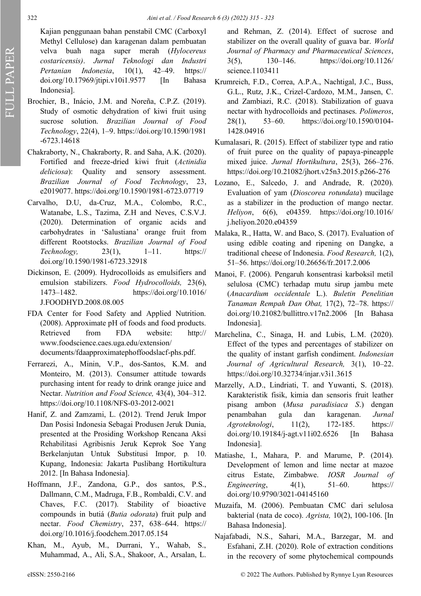Kajian penggunaan bahan penstabil CMC (Carboxyl Methyl Cellulose) dan karagenan dalam pembuatan velva buah naga super merah (*Hylocereus costaricensis)*. *Jurnal Teknologi dan Industri Pertanian Indonesia*, 10(1), 42–49. [https://](https://doi.org/10.17969/jtipi.v10i1.9577) [doi.org/10.17969/jtipi.v10i1.9577 \[](https://doi.org/10.17969/jtipi.v10i1.9577)In Bahasa Indonesia].

- Brochier, B., Inácio, J.M. and Noreña, C.P.Z. (2019). Study of osmotic dehydration of kiwi fruit using sucrose solution. *Brazilian Journal of Food Technology*, 22(4), 1–9. https://doi.org/10.1590/1981 -6723.14618
- Chakraborty, N., Chakraborty, R. and Saha, A.K. (2020). Fortified and freeze-dried kiwi fruit (*Actinidia deliciosa*): Quality and sensory assessment. *Brazilian Journal of Food Technology*, 23, e2019077. https://doi.org/10.1590/1981-6723.07719
- Carvalho, D.U, da-Cruz, M.A., Colombo, R.C., Watanabe, L.S., Tazima, Z.H and Neves, C.S.V.J. (2020). Determination of organic acids and carbohydrates in 'Salustiana' orange fruit from different Rootstocks. *Brazilian Journal of Food Technology,* 23(1), 1–11. [https://](https://doi.org/10.1590/1981-6723.32918) [doi.org/10.1590/1981](https://doi.org/10.1590/1981-6723.32918)-6723.32918
- Dickinson, E. (2009). Hydrocolloids as emulsifiers and emulsion stabilizers. *Food Hydrocolloids,* 23(6), 1473–1482. https://doi.org/10.1016/ J.FOODHYD.2008.08.005
- FDA Center for Food Safety and Applied Nutrition. (2008). Approximate pH of foods and food products. Retrieved from FDA website: http:// www.foodscience.caes.uga.edu/extension/ documents/fdaapproximatephoffoodslacf-phs.pdf.
- Ferrarezi, A., Minin, V.P., dos-Santos, K.M. and Monteiro, M. (2013). Consumer attitude towards purchasing intent for ready to drink orange juice and Nectar. *Nutrition and Food Science,* 43(4), 304–312. https://doi.org/10.1108/NFS-03-2012-0021
- Hanif, Z. and Zamzami, L. (2012). Trend Jeruk Impor Dan Posisi Indonesia Sebagai Produsen Jeruk Dunia, presented at the Prosiding Workshop Rencana Aksi Rehabilitasi Agribisnis Jeruk Keprok Soe Yang Berkelanjutan Untuk Substitusi Impor*,* p*.* 10. Kupang, Indonesia: Jakarta Puslibang Hortikultura 2012. [In Bahasa Indonesia].
- Hoffmann, J.F., Zandona, G.P., dos santos, P.S., Dallmann, C.M., Madruga, F.B., Rombaldi, C.V. and Chaves, F.C. (2017). Stability of bioactive compounds in butiá (*Butia odorata*) fruit pulp and nectar. *Food Chemistry*, 237, 638–644. https:// doi.org/10.1016/j.foodchem.2017.05.154
- Khan, M., Ayub, M., Durrani, Y., Wahab, S., Muhammad, A., Ali, S.A., Shakoor, A., Arsalan, L.

and Rehman, Z. (2014). Effect of sucrose and stabilizer on the overall quality of guava bar. *World Journal of Pharmacy and Pharmaceutical Sciences*, 3(5), 130–146. https://doi.org/10.1126/ science.1103411

- Krumreich, F.D., Correa, A.P.A., Nachtigal, J.C., Buss, G.L., Rutz, J.K., Crizel-Cardozo, M.M., Jansen, C. and Zambiazi, R.C. (2018). Stabilization of guava nectar with hydrocolloids and pectinases. *Polimeros*, 28(1), 53–60. https://doi.org/10.1590/0104- 1428.04916
- Kumalasari, R. (2015). Effect of stabilizer type and ratio of fruit puree on the quality of papaya-pineapple mixed juice. *Jurnal Hortikultura*, 25(3), 266–276. https://doi.org/10.21082/jhort.v25n3.2015.p266-276
- Lozano, E., Salcedo, J. and Andrade, R. (2020). Evaluation of yam (*Dioscorea rotundata*) mucilage as a stabilizer in the production of mango nectar. *Heliyon*, 6(6), e04359. https://doi.org/10.1016/ j.heliyon.2020.e04359
- Malaka, R., Hatta, W. and Baco, S. (2017). Evaluation of using edible coating and ripening on Dangke, a traditional cheese of Indonesia. *Food Research,* 1(2), 51–56. https://doi.org/10.26656/fr.2017.2.006
- Manoi, F. (2006). Pengaruh konsentrasi karboksil metil selulosa (CMC) terhadap mutu sirup jambu mete (*Anacardium occidentale* L.). *Buletin Penelitian Tanaman Rempah Dan Obat,* 17(2), 72–78. [https://](https://doi.org/10.21082/bullittro.v17n2.2006) [doi.org/10.21082/bullittro.v17n2.2006 \[](https://doi.org/10.21082/bullittro.v17n2.2006)In Bahasa Indonesia].
- Marchelina, C., Sinaga, H. and Lubis, L.M. (2020). Effect of the types and percentages of stabilizer on the quality of instant garfish condiment. *Indonesian Journal of Agricultural Research,* 3(1), 10–22. https://doi.org/10.32734/injar.v3i1.3615
- Marzelly, A.D., Lindriati, T. and Yuwanti, S. (2018). Karakteristik fisik, kimia dan sensoris fruit leather pisang ambon (*Musa paradisiaca S*.) dengan penambahan gula dan karagenan. *Jurnal Agroteknologi*, 11(2), 172-185. https:// doi.org/10.19184/j-[agt.v11i02.6526 \[](https://doi.org/10.19184/j-agt.v11i02.6526)In Bahasa Indonesia].
- Matiashe, I., Mahara, P. and Marume, P. (2014). Development of lemon and lime nectar at mazoe citrus Estate, Zimbabwe. *IOSR Journal of Engineering*, 4(1), 51–60. https:// doi.org/10.9790/3021-04145160
- Muzaifa, M. (2006). Pembuatan CMC dari selulosa bakterial (nata de coco). *Agrista,* 10(2), 100-106. [In Bahasa Indonesia].
- Najafabadi, N.S., Sahari, M.A., Barzegar, M. and Esfahani, Z.H. (2020). Role of extraction conditions in the recovery of some phytochemical compounds